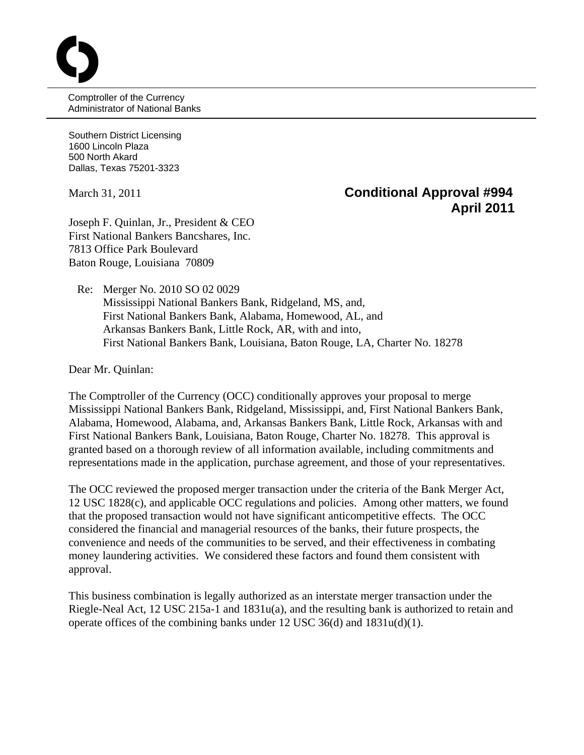Comptroller of the Currency Administrator of National Banks

Southern District Licensing 1600 Lincoln Plaza 500 North Akard Dallas, Texas 75201-3323

O

## March 31, 2011 **Conditional Approval #994 April 2011**

Joseph F. Quinlan, Jr., President & CEO First National Bankers Bancshares, Inc. 7813 Office Park Boulevard Baton Rouge, Louisiana 70809

 Re: Merger No. 2010 SO 02 0029 Mississippi National Bankers Bank, Ridgeland, MS, and, First National Bankers Bank, Alabama, Homewood, AL, and Arkansas Bankers Bank, Little Rock, AR, with and into, First National Bankers Bank, Louisiana, Baton Rouge, LA, Charter No. 18278

Dear Mr. Quinlan:

The Comptroller of the Currency (OCC) conditionally approves your proposal to merge Mississippi National Bankers Bank, Ridgeland, Mississippi, and, First National Bankers Bank, Alabama, Homewood, Alabama, and, Arkansas Bankers Bank, Little Rock, Arkansas with and First National Bankers Bank, Louisiana, Baton Rouge, Charter No. 18278. This approval is granted based on a thorough review of all information available, including commitments and representations made in the application, purchase agreement, and those of your representatives.

The OCC reviewed the proposed merger transaction under the criteria of the Bank Merger Act, 12 USC 1828(c), and applicable OCC regulations and policies. Among other matters, we found that the proposed transaction would not have significant anticompetitive effects. The OCC considered the financial and managerial resources of the banks, their future prospects, the convenience and needs of the communities to be served, and their effectiveness in combating money laundering activities. We considered these factors and found them consistent with approval.

This business combination is legally authorized as an interstate merger transaction under the Riegle-Neal Act, 12 USC 215a-1 and 1831u(a), and the resulting bank is authorized to retain and operate offices of the combining banks under 12 USC 36(d) and 1831u(d)(1).